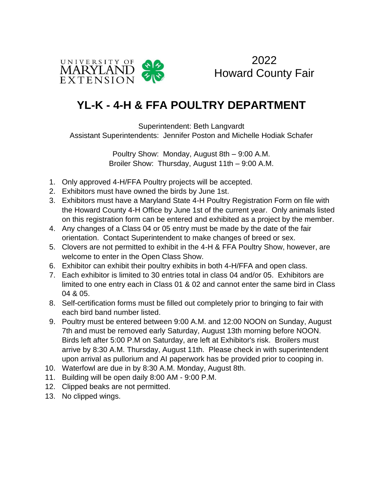

2022 Howard County Fair

## **YL-K - 4-H & FFA POULTRY DEPARTMENT**

Superintendent: Beth Langvardt Assistant Superintendents: Jennifer Poston and Michelle Hodiak Schafer

> Poultry Show: Monday, August 8th – 9:00 A.M. Broiler Show: Thursday, August 11th – 9:00 A.M.

- 1. Only approved 4-H/FFA Poultry projects will be accepted.
- 2. Exhibitors must have owned the birds by June 1st.
- 3. Exhibitors must have a Maryland State 4-H Poultry Registration Form on file with the Howard County 4-H Office by June 1st of the current year. Only animals listed on this registration form can be entered and exhibited as a project by the member.
- 4. Any changes of a Class 04 or 05 entry must be made by the date of the fair orientation. Contact Superintendent to make changes of breed or sex.
- 5. Clovers are not permitted to exhibit in the 4-H & FFA Poultry Show, however, are welcome to enter in the Open Class Show.
- 6. Exhibitor can exhibit their poultry exhibits in both 4-H/FFA and open class.
- 7. Each exhibitor is limited to 30 entries total in class 04 and/or 05. Exhibitors are limited to one entry each in Class 01 & 02 and cannot enter the same bird in Class 04 & 05.
- 8. Self-certification forms must be filled out completely prior to bringing to fair with each bird band number listed.
- 9. Poultry must be entered between 9:00 A.M. and 12:00 NOON on Sunday, August 7th and must be removed early Saturday, August 13th morning before NOON. Birds left after 5:00 P.M on Saturday, are left at Exhibitor's risk. Broilers must arrive by 8:30 A.M. Thursday, August 11th. Please check in with superintendent upon arrival as pullorium and AI paperwork has be provided prior to cooping in.
- 10. Waterfowl are due in by 8:30 A.M. Monday, August 8th.
- 11. Building will be open daily 8:00 AM 9:00 P.M.
- 12. Clipped beaks are not permitted.
- 13. No clipped wings.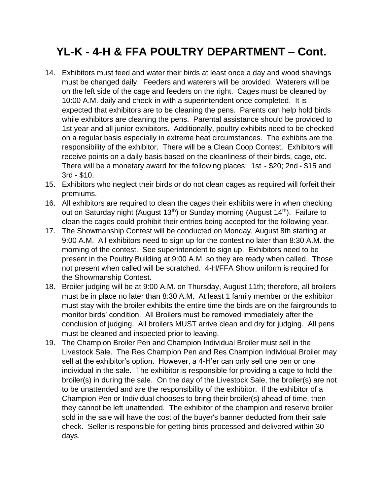## **YL-K - 4-H & FFA POULTRY DEPARTMENT – Cont.**

- 14. Exhibitors must feed and water their birds at least once a day and wood shavings must be changed daily. Feeders and waterers will be provided. Waterers will be on the left side of the cage and feeders on the right. Cages must be cleaned by 10:00 A.M. daily and check-in with a superintendent once completed. It is expected that exhibitors are to be cleaning the pens. Parents can help hold birds while exhibitors are cleaning the pens. Parental assistance should be provided to 1st year and all junior exhibitors. Additionally, poultry exhibits need to be checked on a regular basis especially in extreme heat circumstances. The exhibits are the responsibility of the exhibitor. There will be a Clean Coop Contest. Exhibitors will receive points on a daily basis based on the cleanliness of their birds, cage, etc. There will be a monetary award for the following places: 1st - \$20; 2nd - \$15 and 3rd - \$10.
- 15. Exhibitors who neglect their birds or do not clean cages as required will forfeit their premiums.
- 16. All exhibitors are required to clean the cages their exhibits were in when checking out on Saturday night (August 13<sup>th</sup>) or Sunday morning (August 14<sup>th</sup>). Failure to clean the cages could prohibit their entries being accepted for the following year.
- 17. The Showmanship Contest will be conducted on Monday, August 8th starting at 9:00 A.M. All exhibitors need to sign up for the contest no later than 8:30 A.M. the morning of the contest. See superintendent to sign up. Exhibitors need to be present in the Poultry Building at 9:00 A.M. so they are ready when called. Those not present when called will be scratched. 4-H/FFA Show uniform is required for the Showmanship Contest.
- 18. Broiler judging will be at 9:00 A.M. on Thursday, August 11th; therefore, all broilers must be in place no later than 8:30 A.M. At least 1 family member or the exhibitor must stay with the broiler exhibits the entire time the birds are on the fairgrounds to monitor birds' condition. All Broilers must be removed immediately after the conclusion of judging. All broilers MUST arrive clean and dry for judging. All pens must be cleaned and inspected prior to leaving.
- 19. The Champion Broiler Pen and Champion Individual Broiler must sell in the Livestock Sale. The Res Champion Pen and Res Champion Individual Broiler may sell at the exhibitor's option. However, a 4-H'er can only sell one pen or one individual in the sale. The exhibitor is responsible for providing a cage to hold the broiler(s) in during the sale. On the day of the Livestock Sale, the broiler(s) are not to be unattended and are the responsibility of the exhibitor. If the exhibitor of a Champion Pen or Individual chooses to bring their broiler(s) ahead of time, then they cannot be left unattended. The exhibitor of the champion and reserve broiler sold in the sale will have the cost of the buyer's banner deducted from their sale check. Seller is responsible for getting birds processed and delivered within 30 days.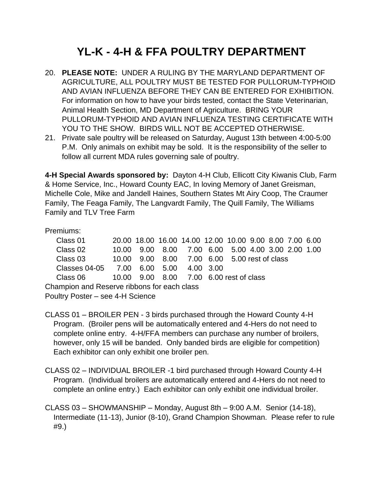## **YL-K - 4-H & FFA POULTRY DEPARTMENT**

- 20. **PLEASE NOTE:** UNDER A RULING BY THE MARYLAND DEPARTMENT OF AGRICULTURE, ALL POULTRY MUST BE TESTED FOR PULLORUM-TYPHOID AND AVIAN INFLUENZA BEFORE THEY CAN BE ENTERED FOR EXHIBITION. For information on how to have your birds tested, contact the State Veterinarian, Animal Health Section, MD Department of Agriculture. BRING YOUR PULLORUM-TYPHOID AND AVIAN INFLUENZA TESTING CERTIFICATE WITH YOU TO THE SHOW. BIRDS WILL NOT BE ACCEPTED OTHERWISE.
- 21. Private sale poultry will be released on Saturday, August 13th between 4:00-5:00 P.M. Only animals on exhibit may be sold. It is the responsibility of the seller to follow all current MDA rules governing sale of poultry.

**4-H Special Awards sponsored by:** Dayton 4-H Club, Ellicott City Kiwanis Club, Farm & Home Service, Inc., Howard County EAC, In loving Memory of Janet Greisman, Michelle Cole, Mike and Jandell Haines, Southern States Mt Airy Coop, The Craumer Family, The Feaga Family, The Langvardt Family, The Quill Family, The Williams Family and TLV Tree Farm

Premiums:

| Class 01                                    |  |  |  | 20.00 18.00 16.00 14.00 12.00 10.00 9.00 8.00 7.00 6.00 |  |  |  |  |  |  |
|---------------------------------------------|--|--|--|---------------------------------------------------------|--|--|--|--|--|--|
| Class 02                                    |  |  |  | 10.00 9.00 8.00 7.00 6.00 5.00 4.00 3.00 2.00 1.00      |  |  |  |  |  |  |
| Class 03                                    |  |  |  | 10.00 9.00 8.00 7.00 6.00 5.00 rest of class            |  |  |  |  |  |  |
| Classes 04-05 7.00 6.00 5.00 4.00 3.00      |  |  |  |                                                         |  |  |  |  |  |  |
| Class 06                                    |  |  |  | 10.00 9.00 8.00 7.00 6.00 rest of class                 |  |  |  |  |  |  |
| Champion and Reserve ribbons for each class |  |  |  |                                                         |  |  |  |  |  |  |
| Poultry Poster - see 4-H Science            |  |  |  |                                                         |  |  |  |  |  |  |

- CLASS 01 BROILER PEN 3 birds purchased through the Howard County 4-H Program. (Broiler pens will be automatically entered and 4-Hers do not need to complete online entry. 4-H/FFA members can purchase any number of broilers, however, only 15 will be banded. Only banded birds are eligible for competition) Each exhibitor can only exhibit one broiler pen.
- CLASS 02 INDIVIDUAL BROILER -1 bird purchased through Howard County 4-H Program. (Individual broilers are automatically entered and 4-Hers do not need to complete an online entry.) Each exhibitor can only exhibit one individual broiler.
- CLASS 03 SHOWMANSHIP Monday, August 8th 9:00 A.M. Senior (14-18), Intermediate (11-13), Junior (8-10), Grand Champion Showman. Please refer to rule #9.)